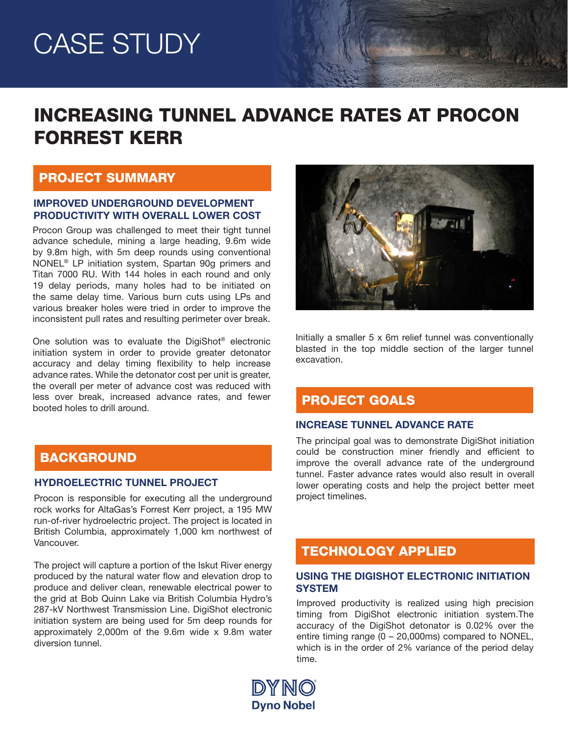# CASE STUDY

# INCREASING TUNNEL ADVANCE RATES AT PROCON FORREST KERR

### PROJECT SUMMARY

#### IMPROVED UNDERGROUND DEVELOPMENT PRODUCTIVITY WITH OVERALL LOWER COST

Procon Group was challenged to meet their tight tunnel advance schedule, mining a large heading, 9.6m wide by 9.8m high, with 5m deep rounds using conventional NONEL® LP initiation system, Spartan 90g primers and Titan 7000 RU. With 144 holes in each round and only 19 delay periods, many holes had to be initiated on the same delay time. Various burn cuts using LPs and various breaker holes were tried in order to improve the inconsistent pull rates and resulting perimeter over break.

One solution was to evaluate the DigiShot® electronic initiation system in order to provide greater detonator accuracy and delay timing flexibility to help increase advance rates. While the detonator cost per unit is greater, the overall per meter of advance cost was reduced with less over break, increased advance rates, and fewer booted holes to drill around.

# **BACKGROUND**

#### HYDROELECTRIC TUNNEL PROJECT

Procon is responsible for executing all the underground rock works for AltaGas's Forrest Kerr project, a 195 MW run-of-river hydroelectric project. The project is located in British Columbia, approximately 1,000 km northwest of Vancouver.

The project will capture a portion of the Iskut River energy produced by the natural water flow and elevation drop to produce and deliver clean, renewable electrical power to the grid at Bob Quinn Lake via British Columbia Hydro's 287-kV Northwest Transmission Line. DigiShot electronic initiation system are being used for 5m deep rounds for approximately 2,000m of the 9.6m wide x 9.8m water diversion tunnel.



Maria Card

Initially a smaller 5 x 6m relief tunnel was conventionally blasted in the top middle section of the larger tunnel excavation.

### PROJECT GOALS

#### INCREASE TUNNEL ADVANCE RATE

The principal goal was to demonstrate DigiShot initiation could be construction miner friendly and efficient to improve the overall advance rate of the underground tunnel. Faster advance rates would also result in overall lower operating costs and help the project better meet project timelines.

# TECHNOLOGY APPLIED

#### USING THE DIGISHOT ELECTRONIC INITIATION **SYSTEM**

Improved productivity is realized using high precision timing from DigiShot electronic initiation system.The accuracy of the DigiShot detonator is 0.02% over the entire timing range (0 – 20,000ms) compared to NONEL, which is in the order of 2% variance of the period delay time.